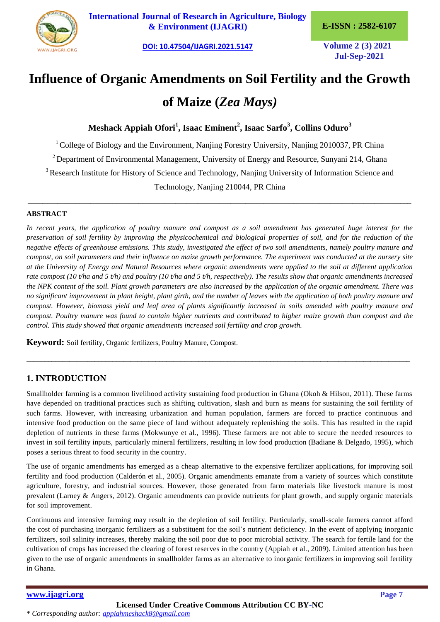

**International Journal of Research in Agriculture, Biology & Environment (IJAGRI) E-ISSN : 2582-6107**

**[DOI: 10.47504/IJAGRI.2021.5147](https://doi.org/10.47504/IJAGRI.2021.5147) Volume 2 (3) 2021**

**Jul-Sep-2021**

# **Influence of Organic Amendments on Soil Fertility and the Growth**

# **of Maize (***Zea Mays)*

**Meshack Appiah Ofori<sup>1</sup> , Isaac Eminent<sup>2</sup> , Isaac Sarfo<sup>3</sup> , Collins Oduro<sup>3</sup>**

<sup>1</sup> College of Biology and the Environment, Nanjing Forestry University, Nanjing 2010037, PR China

 $2$  Department of Environmental Management, University of Energy and Resource, Sunyani 214, Ghana

<sup>3</sup> Research Institute for History of Science and Technology, Nanjing University of Information Science and

Technology, Nanjing 210044, PR China \_\_\_\_\_\_\_\_\_\_\_\_\_\_\_\_\_\_\_\_\_\_\_\_\_\_\_\_\_\_\_\_\_\_\_\_\_\_\_\_\_\_\_\_\_\_\_\_\_\_\_\_\_\_\_\_\_\_\_\_\_\_\_\_\_\_\_\_\_\_\_\_\_\_\_\_\_\_\_\_\_\_\_\_\_\_\_\_\_\_\_\_\_\_\_\_\_\_\_\_\_\_\_\_

#### **ABSTRACT**

In recent years, the application of poultry manure and compost as a soil amendment has generated huge interest for the *preservation of soil fertility by improving the physicochemical and biological properties of soil, and for the reduction of the negative effects of greenhouse emissions. This study, investigated the effect of two soil amendments, namely poultry manure and compost, on soil parameters and their influence on maize growth performance. The experiment was conducted at the nursery site at the University of Energy and Natural Resources where organic amendments were applied to the soil at different application rate compost (10 t/ha and 5 t/h) and poultry (10 t/ha and 5 t/h, respectively). The results show that organic amendments increased the NPK content of the soil. Plant growth parameters are also increased by the application of the organic amendment. There was no significant improvement in plant height, plant girth, and the number of leaves with the application of both poultry manure and compost. However, biomass yield and leaf area of plants significantly increased in soils amended with poultry manure and compost. Poultry manure was found to contain higher nutrients and contributed to higher maize growth than compost and the control. This study showed that organic amendments increased soil fertility and crop growth.*

**Keyword:** Soil fertility, Organic fertilizers, Poultry Manure, Compost.

# **1. INTRODUCTION**

Smallholder farming is a common livelihood activity sustaining food production in Ghana (Okoh & Hilson, 2011). These farms have depended on traditional practices such as shifting cultivation, slash and burn as means for sustaining the soil fertility of such farms. However, with increasing urbanization and human population, farmers are forced to practice continuous and intensive food production on the same piece of land without adequately replenishing the soils. This has resulted in the rapid depletion of nutrients in these farms (Mokwunye et al., 1996). These farmers are not able to secure the needed resources to invest in soil fertility inputs, particularly mineral fertilizers, resulting in low food production (Badiane & Delgado, 1995), which poses a serious threat to food security in the country.

 $\_$  , and the set of the set of the set of the set of the set of the set of the set of the set of the set of the set of the set of the set of the set of the set of the set of the set of the set of the set of the set of th

The use of organic amendments has emerged as a cheap alternative to the expensive fertilizer applications, for improving soil fertility and food production (Calderón et al., 2005). Organic amendments emanate from a variety of sources which constitute agriculture, forestry, and industrial sources. However, those generated from farm materials like livestock manure is most prevalent (Larney & Angers, 2012). Organic amendments can provide nutrients for plant growth, and supply organic materials for soil improvement.

Continuous and intensive farming may result in the depletion of soil fertility. Particularly, small-scale farmers cannot afford the cost of purchasing inorganic fertilizers as a substituent for the soil's nutrient deficiency. In the event of applying inorganic fertilizers, soil salinity increases, thereby making the soil poor due to poor microbial activity. The search for fertile land for the cultivation of crops has increased the clearing of forest reserves in the country (Appiah et al., 2009). Limited attention has been given to the use of organic amendments in smallholder farms as an alternative to inorganic fertilizers in improving soil fertility in Ghana.

# **[www.ijagri.org](https://ijagri.org/index.php/ijagri/about) Page 7**

\* *Corresponding author: [appiahmeshack8@gmail.com](mailto:appiahmeshack8@gmail.com)*

**Licensed Under Creative Commons Attribution CC BY-NC**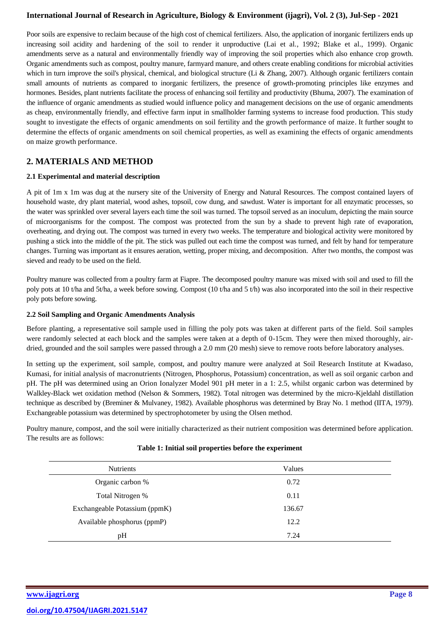Poor soils are expensive to reclaim because of the high cost of chemical fertilizers. Also, the application of inorganic fertilizers ends up increasing soil acidity and hardening of the soil to render it unproductive (Lai et al*.*, 1992; Blake et al., 1999). Organic amendments serve as a natural and environmentally friendly way of improving the soil properties which also enhance crop growth. Organic amendments such as compost, poultry manure, farmyard manure, and others create enabling conditions for microbial activities which in turn improve the soil's physical, chemical, and biological structure (Li & Zhang, 2007). Although organic fertilizers contain small amounts of nutrients as compared to inorganic fertilizers, the presence of growth-promoting principles like enzymes and hormones. Besides, plant nutrients facilitate the process of enhancing soil fertility and productivity (Bhuma, 2007). The examination of the influence of organic amendments as studied would influence policy and management decisions on the use of organic amendments as cheap, environmentally friendly, and effective farm input in smallholder farming systems to increase food production. This study sought to investigate the effects of organic amendments on soil fertility and the growth performance of maize. It further sought to determine the effects of organic amendments on soil chemical properties, as well as examining the effects of organic amendments on maize growth performance.

## **2. MATERIALS AND METHOD**

#### **2.1 Experimental and material description**

A pit of 1m x 1m was dug at the nursery site of the University of Energy and Natural Resources. The compost contained layers of household waste, dry plant material, wood ashes, topsoil, cow dung, and sawdust. Water is important for all enzymatic processes, so the water was sprinkled over several layers each time the soil was turned. The topsoil served as an inoculum, depicting the main source of microorganisms for the compost. The compost was protected from the sun by a shade to prevent high rate of evaporation, overheating, and drying out. The compost was turned in every two weeks. The temperature and biological activity were monitored by pushing a stick into the middle of the pit. The stick was pulled out each time the compost was turned, and felt by hand for temperature changes. Turning was important as it ensures aeration, wetting, proper mixing, and decomposition. After two months, the compost was sieved and ready to be used on the field.

Poultry manure was collected from a poultry farm at Fiapre. The decomposed poultry manure was mixed with soil and used to fill the poly pots at 10 t/ha and 5t/ha, a week before sowing. Compost (10 t/ha and 5 t/h) was also incorporated into the soil in their respective poly pots before sowing.

#### **2.2 Soil Sampling and Organic Amendments Analysis**

Before planting, a representative soil sample used in filling the poly pots was taken at different parts of the field. Soil samples were randomly selected at each block and the samples were taken at a depth of 0-15cm. They were then mixed thoroughly, airdried, grounded and the soil samples were passed through a 2.0 mm (20 mesh) sieve to remove roots before laboratory analyses.

In setting up the experiment, soil sample, compost, and poultry manure were analyzed at Soil Research Institute at Kwadaso, Kumasi, for initial analysis of macronutrients (Nitrogen, Phosphorus, Potassium) concentration, as well as soil organic carbon and pH. The pH was determined using an Orion Ionalyzer Model 901 pH meter in a 1: 2.5, whilst organic carbon was determined by Walkley-Black wet oxidation method (Nelson & Sommers, 1982). Total nitrogen was determined by the micro-Kjeldahl distillation technique as described by (Breminer & Mulvaney, 1982). Available phosphorus was determined by Bray No. 1 method (IITA, 1979). Exchangeable potassium was determined by spectrophotometer by using the Olsen method.

Poultry manure, compost, and the soil were initially characterized as their nutrient composition was determined before application. The results are as follows:

| <b>Nutrients</b>              | Values |
|-------------------------------|--------|
| Organic carbon %              | 0.72   |
| Total Nitrogen %              | 0.11   |
| Exchangeable Potassium (ppmK) | 136.67 |
| Available phosphorus (ppmP)   | 12.2   |
| pH                            | 7.24   |

#### **Table 1: Initial soil properties before the experiment**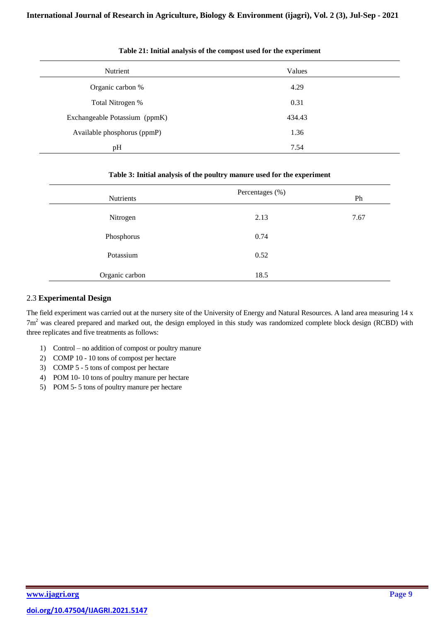| Nutrient                      | Values |  |
|-------------------------------|--------|--|
| Organic carbon %              | 4.29   |  |
| Total Nitrogen %              | 0.31   |  |
| Exchangeable Potassium (ppmK) | 434.43 |  |
| Available phosphorus (ppmP)   | 1.36   |  |
| pH                            | 7.54   |  |

#### **Table 21: Initial analysis of the compost used for the experiment**

#### **Table 3: Initial analysis of the poultry manure used for the experiment**

| Nutrients      | Percentages (%) | Ph   |
|----------------|-----------------|------|
| Nitrogen       | 2.13            | 7.67 |
| Phosphorus     | 0.74            |      |
| Potassium      | 0.52            |      |
| Organic carbon | 18.5            |      |

#### 2.3 **Experimental Design**

The field experiment was carried out at the nursery site of the University of Energy and Natural Resources. A land area measuring 14 x  $7m<sup>2</sup>$  was cleared prepared and marked out, the design employed in this study was randomized complete block design (RCBD) with three replicates and five treatments as follows:

- 1) Control no addition of compost or poultry manure
- 2) COMP 10 10 tons of compost per hectare
- 3) COMP 5 5 tons of compost per hectare
- 4) POM 10- 10 tons of poultry manure per hectare
- 5) POM 5- 5 tons of poultry manure per hectare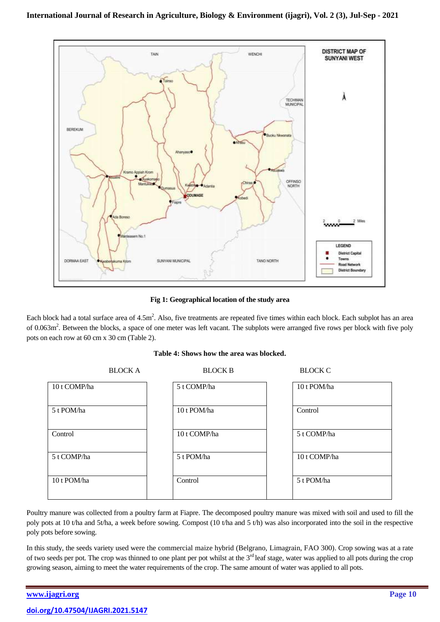

**Fig 1: Geographical location of the study area**

Each block had a total surface area of  $4.5m^2$ . Also, five treatments are repeated five times within each block. Each subplot has an area of 0.063m<sup>2</sup>. Between the blocks, a space of one meter was left vacant. The subplots were arranged five rows per block with five poly pots on each row at 60 cm x 30 cm (Table 2).

#### **Table 4: Shows how the area was blocked.**

|              | <b>BLOCK A</b> | <b>BLOCK B</b> | <b>BLOCK C</b> |
|--------------|----------------|----------------|----------------|
| 10 t COMP/ha |                | 5 t COMP/ha    | 10 t POM/ha    |
| 5 t POM/ha   |                | 10 t POM/ha    | Control        |
| Control      |                | 10 t COMP/ha   | 5 t COMP/ha    |
| 5 t COMP/ha  |                | 5 t POM/ha     | 10 t COMP/ha   |
| 10 t POM/ha  |                | Control        | 5 t POM/ha     |

Poultry manure was collected from a poultry farm at Fiapre. The decomposed poultry manure was mixed with soil and used to fill the poly pots at 10 t/ha and 5t/ha, a week before sowing. Compost (10 t/ha and 5 t/h) was also incorporated into the soil in the respective poly pots before sowing.

In this study, the seeds variety used were the commercial maize hybrid (Belgrano, Limagrain, FAO 300). Crop sowing was at a rate of two seeds per pot. The crop was thinned to one plant per pot whilst at the  $3<sup>rd</sup>$  leaf stage, water was applied to all pots during the crop growing season, aiming to meet the water requirements of the crop. The same amount of water was applied to all pots.

# **[www.ijagri.org](https://ijagri.org/index.php/ijagri/about) Page 10 [doi.org/10.47504/IJAGRI.2021.5147](https://doi.org/10.47504/IJAGRI.2021.5147)**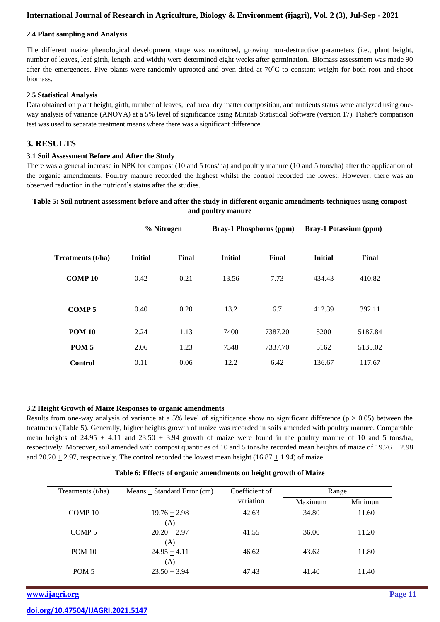#### **2.4 Plant sampling and Analysis**

The different maize phenological development stage was monitored, growing non-destructive parameters (i.e., plant height, number of leaves, leaf girth, length, and width) were determined eight weeks after germination. Biomass assessment was made 90 after the emergences. Five plants were randomly uprooted and oven-dried at  $70^{\circ}$ C to constant weight for both root and shoot biomass.

#### **2.5 Statistical Analysis**

Data obtained on plant height, girth, number of leaves, leaf area, dry matter composition, and nutrients status were analyzed using oneway analysis of variance (ANOVA) at a 5% level of significance using Minitab Statistical Software (version 17). Fisher's comparison test was used to separate treatment means where there was a significant difference.

#### **3. RESULTS**

#### **3.1 Soil Assessment Before and After the Study**

There was a general increase in NPK for compost (10 and 5 tons/ha) and poultry manure (10 and 5 tons/ha) after the application of the organic amendments. Poultry manure recorded the highest whilst the control recorded the lowest. However, there was an observed reduction in the nutrient's status after the studies.

#### **Table 5: Soil nutrient assessment before and after the study in different organic amendments techniques using compost and poultry manure**

|                   | % Nitrogen     |       |                | <b>Bray-1 Phosphorus (ppm)</b> | <b>Bray-1 Potassium (ppm)</b> |         |
|-------------------|----------------|-------|----------------|--------------------------------|-------------------------------|---------|
| Treatments (t/ha) | <b>Initial</b> | Final | <b>Initial</b> | Final                          | <b>Initial</b>                | Final   |
| <b>COMP10</b>     | 0.42           | 0.21  | 13.56          | 7.73                           | 434.43                        | 410.82  |
| <b>COMP5</b>      | 0.40           | 0.20  | 13.2           | 6.7                            | 412.39                        | 392.11  |
| <b>POM 10</b>     | 2.24           | 1.13  | 7400           | 7387.20                        | 5200                          | 5187.84 |
| POM <sub>5</sub>  | 2.06           | 1.23  | 7348           | 7337.70                        | 5162                          | 5135.02 |
| <b>Control</b>    | 0.11           | 0.06  | 12.2           | 6.42                           | 136.67                        | 117.67  |
|                   |                |       |                |                                |                               |         |

#### **3.2 Height Growth of Maize Responses to organic amendments**

Results from one-way analysis of variance at a 5% level of significance show no significant difference ( $p > 0.05$ ) between the treatments (Table 5). Generally, higher heights growth of maize was recorded in soils amended with poultry manure. Comparable mean heights of 24.95  $\pm$  4.11 and 23.50  $\pm$  3.94 growth of maize were found in the poultry manure of 10 and 5 tons/ha, respectively. Moreover, soil amended with compost quantities of 10 and 5 tons/ha recorded mean heights of maize of  $19.76 \pm 2.98$ and  $20.20 + 2.97$ , respectively. The control recorded the lowest mean height  $(16.87 + 1.94)$  of maize.

| Treatments $(t/ha)$ | $Means + Standard Error (cm)$ | Coefficient of | Range   |         |
|---------------------|-------------------------------|----------------|---------|---------|
|                     |                               | variation      | Maximum | Minimum |
| COMP <sub>10</sub>  | $19.76 \pm 2.98$              | 42.63          | 34.80   | 11.60   |
|                     | (A)                           |                |         |         |
| COMP <sub>5</sub>   | $20.20 \pm 2.97$              | 41.55          | 36.00   | 11.20   |
|                     | (A)                           |                |         |         |
| <b>POM 10</b>       | $24.95 + 4.11$                | 46.62          | 43.62   | 11.80   |
|                     | (A)                           |                |         |         |
| POM <sub>5</sub>    | $23.50 + 3.94$                | 47.43          | 41.40   | 11.40   |
|                     |                               |                |         |         |

#### **Table 6: Effects of organic amendments on height growth of Maize**

**[www.ijagri.org](https://ijagri.org/index.php/ijagri/about) Page 11**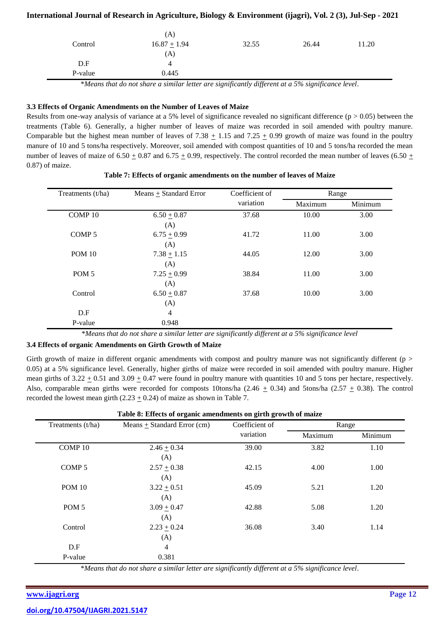|         | (A)              |       |       |       |
|---------|------------------|-------|-------|-------|
| Control | $16.87 \pm 1.94$ | 32.55 | 26.44 | 11.20 |
|         | (A)              |       |       |       |
| D.F     | 4                |       |       |       |
| P-value | 0.445            |       |       |       |
| .       |                  |       | _____ |       |

\**Means that do not share a similar letter are significantly different at a 5% significance level*.

#### **3.3 Effects of Organic Amendments on the Number of Leaves of Maize**

Results from one-way analysis of variance at a 5% level of significance revealed no significant difference  $(p > 0.05)$  between the treatments (Table 6). Generally, a higher number of leaves of maize was recorded in soil amended with poultry manure. Comparable but the highest mean number of leaves of 7.38  $\pm$  1.15 and 7.25  $\pm$  0.99 growth of maize was found in the poultry manure of 10 and 5 tons/ha respectively. Moreover, soil amended with compost quantities of 10 and 5 tons/ha recorded the mean number of leaves of maize of 6.50  $\pm$  0.87 and 6.75  $\pm$  0.99, respectively. The control recorded the mean number of leaves (6.50  $\pm$ 0.87) of maize.

| Treatments $(t/ha)$ | Means $\pm$ Standard Error | Coefficient of | Range   |         |
|---------------------|----------------------------|----------------|---------|---------|
|                     |                            | variation      | Maximum | Minimum |
| COMP <sub>10</sub>  | $6.50 + 0.87$              | 37.68          | 10.00   | 3.00    |
|                     | (A)                        |                |         |         |
| COMP <sub>5</sub>   | $6.75 \pm 0.99$            | 41.72          | 11.00   | 3.00    |
|                     | (A)                        |                |         |         |
| <b>POM 10</b>       | $7.38 \pm 1.15$            | 44.05          | 12.00   | 3.00    |
|                     | (A)                        |                |         |         |
| POM <sub>5</sub>    | $7.25 \pm 0.99$            | 38.84          | 11.00   | 3.00    |
|                     | (A)                        |                |         |         |
| Control             | $6.50 \pm 0.87$            | 37.68          | 10.00   | 3.00    |
|                     | (A)                        |                |         |         |
| D.F                 | 4                          |                |         |         |
| P-value             | 0.948                      |                |         |         |

**Table 7: Effects of organic amendments on the number of leaves of Maize**

\**Means that do not share a similar letter are significantly different at a 5% significance level*

#### **3.4 Effects of organic Amendments on Girth Growth of Maize**

Girth growth of maize in different organic amendments with compost and poultry manure was not significantly different (p > 0.05) at a 5% significance level. Generally, higher girths of maize were recorded in soil amended with poultry manure. Higher mean girths of  $3.22 \pm 0.51$  and  $3.09 \pm 0.47$  were found in poultry manure with quantities 10 and 5 tons per hectare, respectively. Also, comparable mean girths were recorded for composts 10tons/ha (2.46  $\pm$  0.34) and 5tons/ha (2.57  $\pm$  0.38). The control recorded the lowest mean girth (2.23  $\pm$  0.24) of maize as shown in Table 7.

| Table 8: Effects of organic amendments on girth growth of maize |                                 |                |         |         |  |
|-----------------------------------------------------------------|---------------------------------|----------------|---------|---------|--|
| Treatments (t/ha)                                               | Means $\pm$ Standard Error (cm) | Coefficient of | Range   |         |  |
|                                                                 |                                 | variation      | Maximum | Minimum |  |
| COMP 10                                                         | $2.46 \pm 0.34$                 | 39.00          | 3.82    | 1.10    |  |
|                                                                 | (A)                             |                |         |         |  |
| COMP <sub>5</sub>                                               | $2.57 \pm 0.38$                 | 42.15          | 4.00    | 1.00    |  |
|                                                                 | (A)                             |                |         |         |  |
| <b>POM 10</b>                                                   | $3.22 \pm 0.51$                 | 45.09          | 5.21    | 1.20    |  |
|                                                                 | (A)                             |                |         |         |  |
| POM <sub>5</sub>                                                | $3.09 \pm 0.47$                 | 42.88          | 5.08    | 1.20    |  |
|                                                                 | (A)                             |                |         |         |  |
| Control                                                         | $2.23 \pm 0.24$                 | 36.08          | 3.40    | 1.14    |  |
|                                                                 | (A)                             |                |         |         |  |
| D.F                                                             | $\overline{4}$                  |                |         |         |  |
| P-value                                                         | 0.381                           |                |         |         |  |

\**Means that do not share a similar letter are significantly different at a 5% significance level*.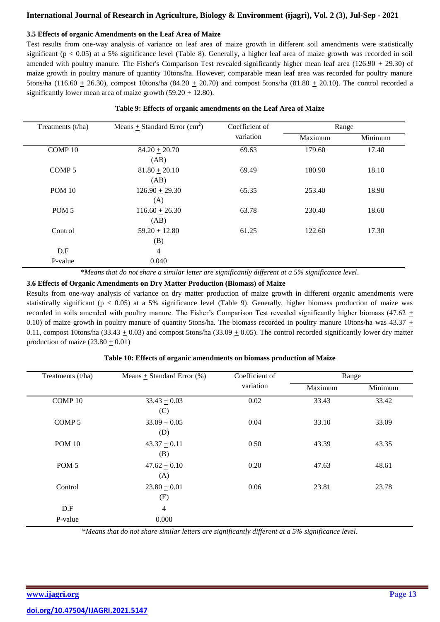#### **3.5 Effects of organic Amendments on the Leaf Area of Maize**

Test results from one-way analysis of variance on leaf area of maize growth in different soil amendments were statistically significant ( $p < 0.05$ ) at a 5% significance level (Table 8). Generally, a higher leaf area of maize growth was recorded in soil amended with poultry manure. The Fisher's Comparison Test revealed significantly higher mean leaf area (126.90 + 29.30) of maize growth in poultry manure of quantity 10tons/ha. However, comparable mean leaf area was recorded for poultry manure 5tons/ha (116.60  $\pm$  26.30), compost 10tons/ha (84.20  $\pm$  20.70) and compost 5tons/ha (81.80  $\pm$  20.10). The control recorded a significantly lower mean area of maize growth  $(59.20 \pm 12.80)$ .

| Table 9: Effects of organic amendments on the Leaf Area of Maize |  |  |  |
|------------------------------------------------------------------|--|--|--|
|                                                                  |  |  |  |

| Treatments (t/ha)  | Means + Standard Error $(cm2)$<br>Coefficient of |           |        |         | Range |  |
|--------------------|--------------------------------------------------|-----------|--------|---------|-------|--|
|                    |                                                  | variation |        | Minimum |       |  |
| COMP <sub>10</sub> | $84.20 \pm 20.70$                                | 69.63     | 179.60 | 17.40   |       |  |
|                    | (AB)                                             |           |        |         |       |  |
| COMP <sub>5</sub>  | $81.80 \pm 20.10$                                | 69.49     | 180.90 | 18.10   |       |  |
|                    | (AB)                                             |           |        |         |       |  |
| <b>POM 10</b>      | $126.90 \pm 29.30$                               | 65.35     | 253.40 | 18.90   |       |  |
|                    | (A)                                              |           |        |         |       |  |
| POM <sub>5</sub>   | $116.60 \pm 26.30$                               | 63.78     | 230.40 | 18.60   |       |  |
|                    | (AB)                                             |           |        |         |       |  |
| Control            | $59.20 \pm 12.80$                                | 61.25     | 122.60 | 17.30   |       |  |
|                    | (B)                                              |           |        |         |       |  |
| D.F                | 4                                                |           |        |         |       |  |
| P-value            | 0.040                                            |           |        |         |       |  |

\**Means that do not share a similar letter are significantly different at a 5% significance level*.

#### **3.6 Effects of Organic Amendments on Dry Matter Production (Biomass) of Maize**

Results from one-way analysis of variance on dry matter production of maize growth in different organic amendments were statistically significant ( $p < 0.05$ ) at a 5% significance level (Table 9). Generally, higher biomass production of maize was recorded in soils amended with poultry manure. The Fisher's Comparison Test revealed significantly higher biomass (47.62 + 0.10) of maize growth in poultry manure of quantity 5tons/ha. The biomass recorded in poultry manure 10tons/ha was 43.37  $\pm$ 0.11, compost 10tons/ha (33.43  $\pm$  0.03) and compost 5tons/ha (33.09  $\pm$  0.05). The control recorded significantly lower dry matter production of maize  $(23.80 + 0.01)$ 

| Treatments (t/ha) | Means + Standard Error $(\%)$ | Coefficient of |         | Range   |
|-------------------|-------------------------------|----------------|---------|---------|
|                   |                               |                | Maximum | Minimum |
| COMP 10           | $33.43 \pm 0.03$<br>(C)       | 0.02           | 33.43   | 33.42   |
| COMP <sub>5</sub> | $33.09 \pm 0.05$<br>(D)       | 0.04           | 33.10   | 33.09   |
| <b>POM 10</b>     | $43.37 + 0.11$<br>(B)         | 0.50           | 43.39   | 43.35   |
| POM <sub>5</sub>  | $47.62 \pm 0.10$<br>(A)       | 0.20           | 47.63   | 48.61   |
| Control           | $23.80 \pm 0.01$<br>(E)       | 0.06           | 23.81   | 23.78   |
| D.F               | $\overline{4}$                |                |         |         |
| P-value           | 0.000                         |                |         |         |

#### **Table 10: Effects of organic amendments on biomass production of Maize**

\**Means that do not share similar letters are significantly different at a 5% significance level*.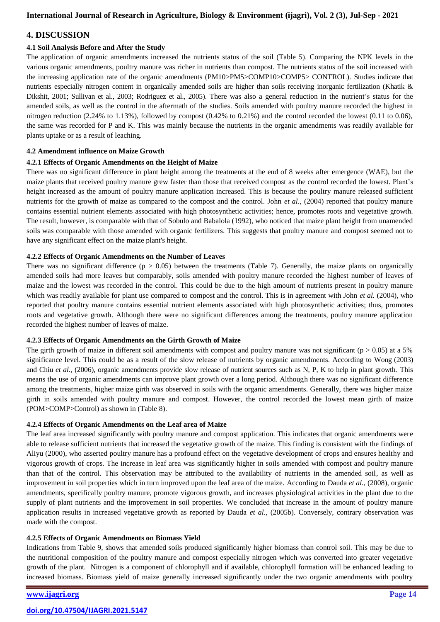#### **4. DISCUSSION**

#### **4.1 Soil Analysis Before and After the Study**

The application of organic amendments increased the nutrients status of the soil (Table 5). Comparing the NPK levels in the various organic amendments, poultry manure was richer in nutrients than compost. The nutrients status of the soil increased with the increasing application rate of the organic amendments (PM10>PM5>COMP10>COMP5> CONTROL). Studies indicate that nutrients especially nitrogen content in organically amended soils are higher than soils receiving inorganic fertilization (Khatik & Dikshit, 2001; Sullivan et al., 2003; Rodriguez et al., 2005). There was also a general reduction in the nutrient's status for the amended soils, as well as the control in the aftermath of the studies. Soils amended with poultry manure recorded the highest in nitrogen reduction (2.24% to 1.13%), followed by compost (0.42% to 0.21%) and the control recorded the lowest (0.11 to 0.06), the same was recorded for P and K. This was mainly because the nutrients in the organic amendments was readily available for plants uptake or as a result of leaching.

#### **4.2 Amendment influence on Maize Growth**

#### **4.2.1 Effects of Organic Amendments on the Height of Maize**

There was no significant difference in plant height among the treatments at the end of 8 weeks after emergence (WAE), but the maize plants that received poultry manure grew faster than those that received compost as the control recorded the lowest. Plant's height increased as the amount of poultry manure application increased. This is because the poultry manure released sufficient nutrients for the growth of maize as compared to the compost and the control. John *et al*., (2004) reported that poultry manure contains essential nutrient elements associated with high photosynthetic activities; hence, promotes roots and vegetative growth. The result, however, is comparable with that of Sobulo and Babalola (1992), who noticed that maize plant height from unamended soils was comparable with those amended with organic fertilizers. This suggests that poultry manure and compost seemed not to have any significant effect on the maize plant's height.

#### **4.2.2 Effects of Organic Amendments on the Number of Leaves**

There was no significant difference  $(p > 0.05)$  between the treatments (Table 7). Generally, the maize plants on organically amended soils had more leaves but comparably, soils amended with poultry manure recorded the highest number of leaves of maize and the lowest was recorded in the control. This could be due to the high amount of nutrients present in poultry manure which was readily available for plant use compared to compost and the control. This is in agreement with John *et al.* (2004), who reported that poultry manure contains essential nutrient elements associated with high photosynthetic activities; thus, promotes roots and vegetative growth. Although there were no significant differences among the treatments, poultry manure application recorded the highest number of leaves of maize.

#### **4.2.3 Effects of Organic Amendments on the Girth Growth of Maize**

The girth growth of maize in different soil amendments with compost and poultry manure was not significant ( $p > 0.05$ ) at a 5% significance level. This could be as a result of the slow release of nutrients by organic amendments. According to Wong (2003) and Chiu *et al*., (2006), organic amendments provide slow release of nutrient sources such as N, P, K to help in plant growth. This means the use of organic amendments can improve plant growth over a long period. Although there was no significant difference among the treatments, higher maize girth was observed in soils with the organic amendments. Generally, there was higher maize girth in soils amended with poultry manure and compost. However, the control recorded the lowest mean girth of maize (POM>COMP>Control) as shown in (Table 8).

#### **4.2.4 Effects of Organic Amendments on the Leaf area of Maize**

The leaf area increased significantly with poultry manure and compost application. This indicates that organic amendments were able to release sufficient nutrients that increased the vegetative growth of the maize. This finding is consistent with the findings of Aliyu (2000), who asserted poultry manure has a profound effect on the vegetative development of crops and ensures healthy and vigorous growth of crops. The increase in leaf area was significantly higher in soils amended with compost and poultry manure than that of the control. This observation may be attributed to the availability of nutrients in the amended soil, as well as improvement in soil properties which in turn improved upon the leaf area of the maize. According to Dauda *et al.,* (2008), organic amendments, specifically poultry manure, promote vigorous growth, and increases physiological activities in the plant due to the supply of plant nutrients and the improvement in soil properties. We concluded that increase in the amount of poultry manure application results in increased vegetative growth as reported by Dauda *et al.,* (2005b). Conversely, contrary observation was made with the compost.

#### **4.2.5 Effects of Organic Amendments on Biomass Yield**

Indications from Table 9, shows that amended soils produced significantly higher biomass than control soil. This may be due to the nutritional composition of the poultry manure and compost especially nitrogen which was converted into greater vegetative growth of the plant. Nitrogen is a component of chlorophyll and if available, chlorophyll formation will be enhanced leading to increased biomass. Biomass yield of maize generally increased significantly under the two organic amendments with poultry

## **[www.ijagri.org](https://ijagri.org/index.php/ijagri/about) Page 14**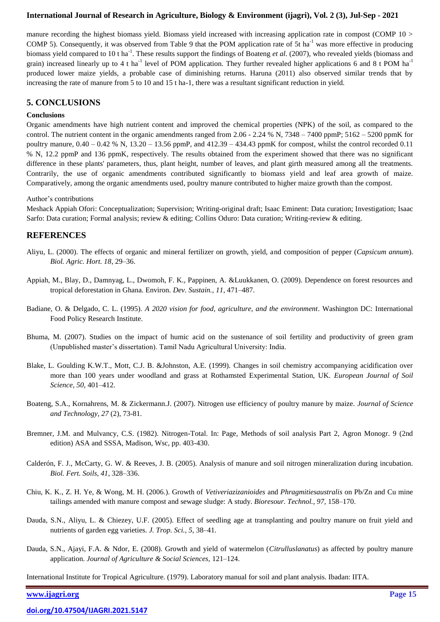manure recording the highest biomass yield. Biomass yield increased with increasing application rate in compost (COMP  $10 >$ COMP 5). Consequently, it was observed from Table 9 that the POM application rate of 5t ha<sup>-1</sup> was more effective in producing biomass yield compared to 10 t ha<sup>-1</sup>. These results support the findings of Boateng *et al.* (2007), who revealed yields (biomass and grain) increased linearly up to 4 t ha<sup>-1</sup> level of POM application. They further revealed higher applications 6 and 8 t POM ha<sup>-1</sup> produced lower maize yields, a probable case of diminishing returns. Haruna (2011) also observed similar trends that by increasing the rate of manure from 5 to 10 and 15 t ha-1, there was a resultant significant reduction in yield.

#### **5. CONCLUSIONS**

#### **Conclusions**

Organic amendments have high nutrient content and improved the chemical properties (NPK) of the soil, as compared to the control. The nutrient content in the organic amendments ranged from  $2.06 - 2.24$  % N,  $7348 - 7400$  ppmP;  $5162 - 5200$  ppmK for poultry manure, 0.40 – 0.42 % N, 13.20 – 13.56 ppmP, and 412.39 – 434.43 ppmK for compost, whilst the control recorded 0.11 % N, 12.2 ppmP and 136 ppmK, respectively. The results obtained from the experiment showed that there was no significant difference in these plants' parameters, thus, plant height, number of leaves, and plant girth measured among all the treatments. Contrarily, the use of organic amendments contributed significantly to biomass yield and leaf area growth of maize. Comparatively, among the organic amendments used, poultry manure contributed to higher maize growth than the compost.

#### Author's contributions

Meshack Appiah Ofori: Conceptualization; Supervision; Writing-original draft; Isaac Eminent: Data curation; Investigation; Isaac Sarfo: Data curation; Formal analysis; review & editing; Collins Oduro: Data curation; Writing-review & editing.

#### **REFERENCES**

- Aliyu, L. (2000). The effects of organic and mineral fertilizer on growth, yield, and composition of pepper (*Capsicum annum*). *Biol. Agric. Hort. 18*, 29–36.
- Appiah, M., Blay, D., Damnyag, L., Dwomoh, F. K., Pappinen, A. &Luukkanen, O. (2009). Dependence on forest resources and tropical deforestation in Ghana. Environ. *Dev. Sustain., 11,* 471–487.
- Badiane, O. & Delgado, C. L. (1995). *A 2020 vision for food, agriculture, and the environment*. Washington DC: International Food Policy Research Institute.
- Bhuma, M. (2007). Studies on the impact of humic acid on the sustenance of soil fertility and productivity of green gram (Unpublished master's dissertation). Tamil Nadu Agricultural University: India.
- Blake, L. Goulding K.W.T., Mott, C.J. B. &Johnston, A.E. (1999). Changes in soil chemistry accompanying acidification over more than 100 years under woodland and grass at Rothamsted Experimental Station, UK. *European Journal of Soil Science, 50,* 401–412.
- Boateng, S.A., Kornahrens, M. & Zickermann.J. (2007). Nitrogen use efficiency of poultry manure by maize. *Journal of Science and Technology, 27* (2), 73-81.
- Bremner, J.M. and Mulvancy, C.S. (1982). Nitrogen-Total. In: Page, Methods of soil analysis Part 2, Agron Monogr. 9 (2nd edition) ASA and SSSA, Madison, Wsc, pp. 403-430.
- Calderón, F. J., McCarty, G. W. & Reeves, J. B. (2005). Analysis of manure and soil nitrogen mineralization during incubation. *Biol. Fert. Soils, 41*, 328–336.
- Chiu, K. K., Z. H. Ye, & Wong, M. H. (2006.). Growth of *Vetiveriazizanioides* and *Phragmitiesaustralis* on Pb/Zn and Cu mine tailings amended with manure compost and sewage sludge: A study. *Bioresour. Technol., 97,* 158–170.
- Dauda, S.N., Aliyu, L. & Chiezey, U.F. (2005). Effect of seedling age at transplanting and poultry manure on fruit yield and nutrients of garden egg varieties. *J. Trop. Sci., 5,* 38–41.
- Dauda, S.N., Ajayi, F.A. & Ndor, E. (2008). Growth and yield of watermelon (*Citrulluslanatus*) as affected by poultry manure application. *Journal of Agriculture & Social Sciences,* 121–124.

International Institute for Tropical Agriculture. (1979). Laboratory manual for soil and plant analysis. Ibadan: IITA.

**[www.ijagri.org](https://ijagri.org/index.php/ijagri/about) Page 15**

**[doi.org/10.47504/IJAGRI.2021.5147](https://doi.org/10.47504/IJAGRI.2021.5147)**